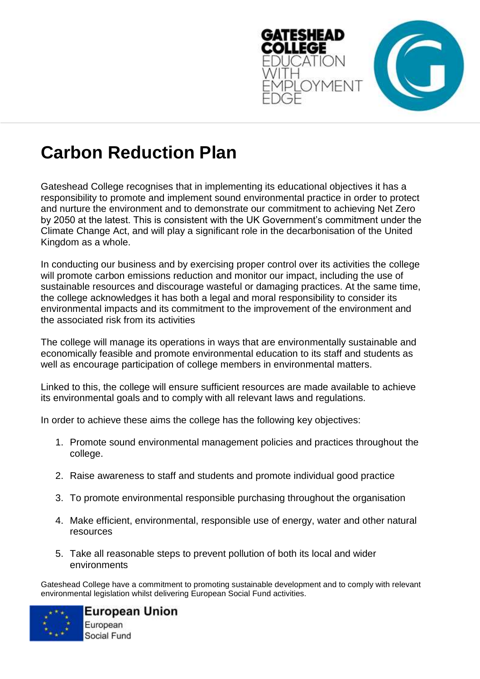

## **Carbon Reduction Plan**

Gateshead College recognises that in implementing its educational objectives it has a responsibility to promote and implement sound environmental practice in order to protect and nurture the environment and to demonstrate our commitment to achieving Net Zero by 2050 at the latest. This is consistent with the UK Government's commitment under the Climate Change Act, and will play a significant role in the decarbonisation of the United Kingdom as a whole.

In conducting our business and by exercising proper control over its activities the college will promote carbon emissions reduction and monitor our impact, including the use of sustainable resources and discourage wasteful or damaging practices. At the same time, the college acknowledges it has both a legal and moral responsibility to consider its environmental impacts and its commitment to the improvement of the environment and the associated risk from its activities

The college will manage its operations in ways that are environmentally sustainable and economically feasible and promote environmental education to its staff and students as well as encourage participation of college members in environmental matters.

Linked to this, the college will ensure sufficient resources are made available to achieve its environmental goals and to comply with all relevant laws and regulations.

In order to achieve these aims the college has the following key objectives:

- 1. Promote sound environmental management policies and practices throughout the college.
- 2. Raise awareness to staff and students and promote individual good practice
- 3. To promote environmental responsible purchasing throughout the organisation
- 4. Make efficient, environmental, responsible use of energy, water and other natural resources
- 5. Take all reasonable steps to prevent pollution of both its local and wider environments

Gateshead College have a commitment to promoting sustainable development and to comply with relevant environmental legislation whilst delivering European Social Fund activities.



**European Union** European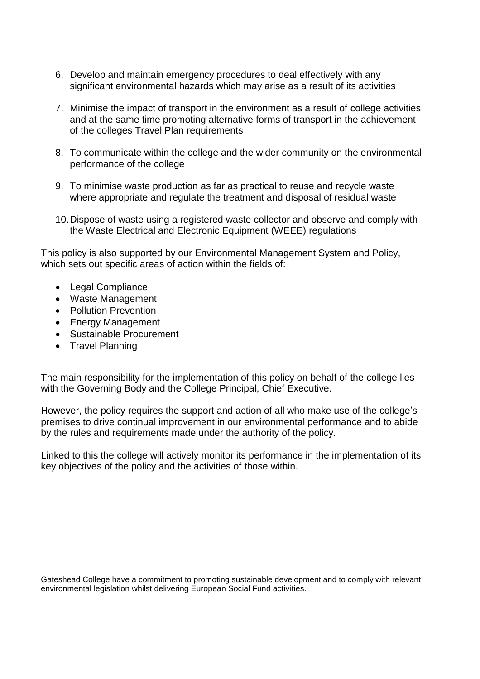- 6. Develop and maintain emergency procedures to deal effectively with any significant environmental hazards which may arise as a result of its activities
- 7. Minimise the impact of transport in the environment as a result of college activities and at the same time promoting alternative forms of transport in the achievement of the colleges Travel Plan requirements
- 8. To communicate within the college and the wider community on the environmental performance of the college
- 9. To minimise waste production as far as practical to reuse and recycle waste where appropriate and regulate the treatment and disposal of residual waste
- 10.Dispose of waste using a registered waste collector and observe and comply with the Waste Electrical and Electronic Equipment (WEEE) regulations

This policy is also supported by our Environmental Management System and Policy, which sets out specific areas of action within the fields of:

- Legal Compliance
- Waste Management
- Pollution Prevention
- Energy Management
- Sustainable Procurement
- Travel Planning

The main responsibility for the implementation of this policy on behalf of the college lies with the Governing Body and the College Principal, Chief Executive.

However, the policy requires the support and action of all who make use of the college's premises to drive continual improvement in our environmental performance and to abide by the rules and requirements made under the authority of the policy.

Linked to this the college will actively monitor its performance in the implementation of its key objectives of the policy and the activities of those within.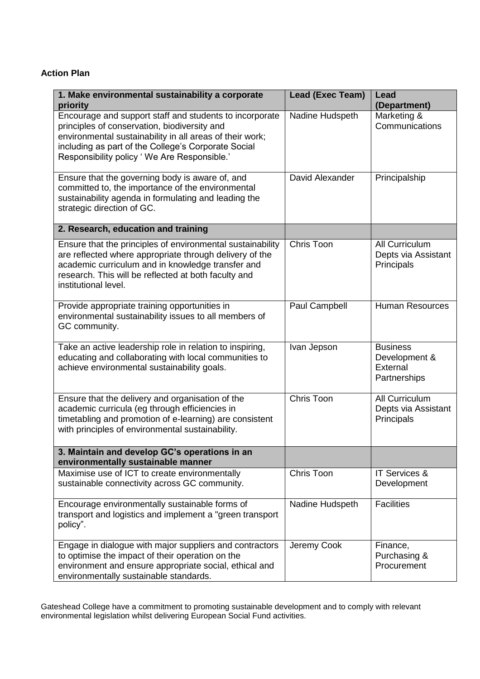## **Action Plan**

| 1. Make environmental sustainability a corporate<br>priority                                                                                                                                                                                                              | <b>Lead (Exec Team)</b> | Lead<br>(Department)                                         |
|---------------------------------------------------------------------------------------------------------------------------------------------------------------------------------------------------------------------------------------------------------------------------|-------------------------|--------------------------------------------------------------|
| Encourage and support staff and students to incorporate<br>principles of conservation, biodiversity and<br>environmental sustainability in all areas of their work;<br>including as part of the College's Corporate Social<br>Responsibility policy 'We Are Responsible.' | Nadine Hudspeth         | Marketing &<br>Communications                                |
| Ensure that the governing body is aware of, and<br>committed to, the importance of the environmental<br>sustainability agenda in formulating and leading the<br>strategic direction of GC.                                                                                | David Alexander         | Principalship                                                |
| 2. Research, education and training                                                                                                                                                                                                                                       |                         |                                                              |
| Ensure that the principles of environmental sustainability<br>are reflected where appropriate through delivery of the<br>academic curriculum and in knowledge transfer and<br>research. This will be reflected at both faculty and<br>institutional level.                | Chris Toon              | All Curriculum<br>Depts via Assistant<br>Principals          |
| Provide appropriate training opportunities in<br>environmental sustainability issues to all members of<br>GC community.                                                                                                                                                   | Paul Campbell           | Human Resources                                              |
| Take an active leadership role in relation to inspiring,<br>educating and collaborating with local communities to<br>achieve environmental sustainability goals.                                                                                                          | Ivan Jepson             | <b>Business</b><br>Development &<br>External<br>Partnerships |
| Ensure that the delivery and organisation of the<br>academic curricula (eg through efficiencies in<br>timetabling and promotion of e-learning) are consistent<br>with principles of environmental sustainability.                                                         | Chris Toon              | All Curriculum<br>Depts via Assistant<br>Principals          |
| 3. Maintain and develop GC's operations in an<br>environmentally sustainable manner                                                                                                                                                                                       |                         |                                                              |
| Maximise use of ICT to create environmentally                                                                                                                                                                                                                             | Chris Toon              | IT Services &                                                |
| sustainable connectivity across GC community.                                                                                                                                                                                                                             |                         | Development                                                  |
| Encourage environmentally sustainable forms of<br>transport and logistics and implement a "green transport"<br>policy".                                                                                                                                                   | Nadine Hudspeth         | <b>Facilities</b>                                            |
| Engage in dialogue with major suppliers and contractors<br>to optimise the impact of their operation on the<br>environment and ensure appropriate social, ethical and<br>environmentally sustainable standards.                                                           | Jeremy Cook             | Finance,<br>Purchasing &<br>Procurement                      |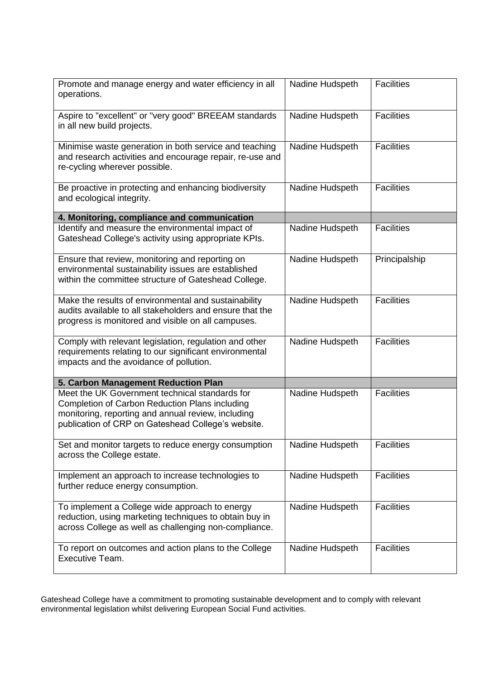| Promote and manage energy and water efficiency in all<br>operations.                                                                                                                                         | Nadine Hudspeth | <b>Facilities</b> |
|--------------------------------------------------------------------------------------------------------------------------------------------------------------------------------------------------------------|-----------------|-------------------|
| Aspire to "excellent" or "very good" BREEAM standards<br>in all new build projects.                                                                                                                          | Nadine Hudspeth | <b>Facilities</b> |
| Minimise waste generation in both service and teaching<br>and research activities and encourage repair, re-use and<br>re-cycling wherever possible.                                                          | Nadine Hudspeth | <b>Facilities</b> |
| Be proactive in protecting and enhancing biodiversity<br>and ecological integrity.                                                                                                                           | Nadine Hudspeth | <b>Facilities</b> |
| 4. Monitoring, compliance and communication                                                                                                                                                                  |                 |                   |
| Identify and measure the environmental impact of<br>Gateshead College's activity using appropriate KPIs.                                                                                                     | Nadine Hudspeth | <b>Facilities</b> |
| Ensure that review, monitoring and reporting on<br>environmental sustainability issues are established<br>within the committee structure of Gateshead College.                                               | Nadine Hudspeth | Principalship     |
| Make the results of environmental and sustainability<br>audits available to all stakeholders and ensure that the<br>progress is monitored and visible on all campuses.                                       | Nadine Hudspeth | <b>Facilities</b> |
| Comply with relevant legislation, regulation and other<br>requirements relating to our significant environmental<br>impacts and the avoidance of pollution.                                                  | Nadine Hudspeth | <b>Facilities</b> |
| 5. Carbon Management Reduction Plan                                                                                                                                                                          |                 |                   |
| Meet the UK Government technical standards for<br>Completion of Carbon Reduction Plans including<br>monitoring, reporting and annual review, including<br>publication of CRP on Gateshead College's website. | Nadine Hudspeth | <b>Facilities</b> |
| Set and monitor targets to reduce energy consumption<br>across the College estate.                                                                                                                           | Nadine Hudspeth | <b>Facilities</b> |
| Implement an approach to increase technologies to<br>further reduce energy consumption.                                                                                                                      | Nadine Hudspeth | <b>Facilities</b> |
| To implement a College wide approach to energy<br>reduction, using marketing techniques to obtain buy in<br>across College as well as challenging non-compliance.                                            | Nadine Hudspeth | <b>Facilities</b> |
| To report on outcomes and action plans to the College<br>Executive Team.                                                                                                                                     | Nadine Hudspeth | <b>Facilities</b> |